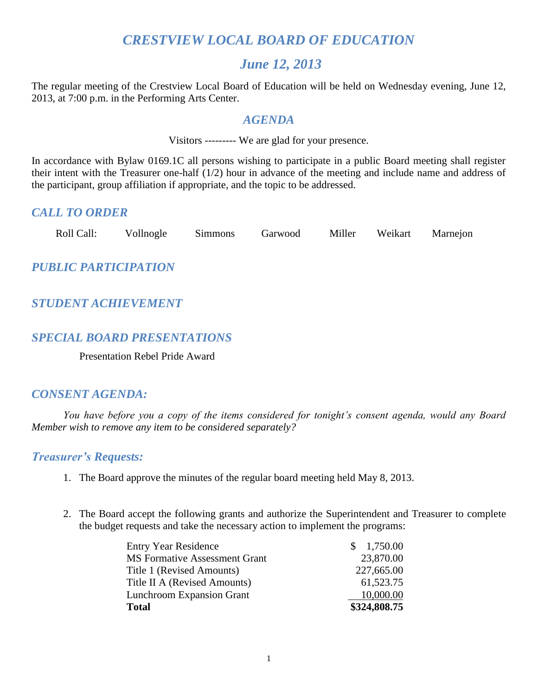# *CRESTVIEW LOCAL BOARD OF EDUCATION*

## *June 12, 2013*

The regular meeting of the Crestview Local Board of Education will be held on Wednesday evening, June 12, 2013, at 7:00 p.m. in the Performing Arts Center.

## *AGENDA*

Visitors --------- We are glad for your presence.

In accordance with Bylaw 0169.1C all persons wishing to participate in a public Board meeting shall register their intent with the Treasurer one-half (1/2) hour in advance of the meeting and include name and address of the participant, group affiliation if appropriate, and the topic to be addressed.

## *CALL TO ORDER*

| Roll Call: | Vollnogle | Simmons | Garwood | Miller | Weikart | Marnejon |
|------------|-----------|---------|---------|--------|---------|----------|
|            |           |         |         |        |         |          |

# *PUBLIC PARTICIPATION*

# *STUDENT ACHIEVEMENT*

## *SPECIAL BOARD PRESENTATIONS*

Presentation Rebel Pride Award

## *CONSENT AGENDA:*

*You have before you a copy of the items considered for tonight's consent agenda, would any Board Member wish to remove any item to be considered separately?*

## *Treasurer's Requests:*

- 1. The Board approve the minutes of the regular board meeting held May 8, 2013.
- 2. The Board accept the following grants and authorize the Superintendent and Treasurer to complete the budget requests and take the necessary action to implement the programs:

| <b>Entry Year Residence</b>          | \$1,750.00   |
|--------------------------------------|--------------|
| <b>MS Formative Assessment Grant</b> | 23,870.00    |
| Title 1 (Revised Amounts)            | 227,665.00   |
| Title II A (Revised Amounts)         | 61,523.75    |
| <b>Lunchroom Expansion Grant</b>     | 10,000.00    |
| <b>Total</b>                         | \$324,808.75 |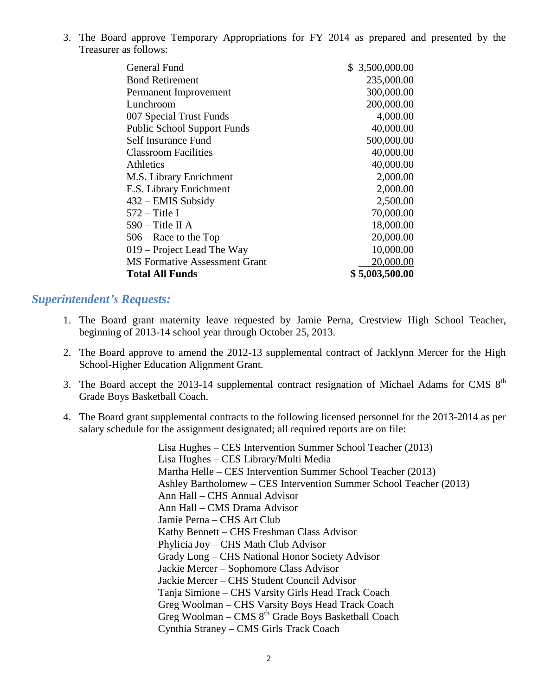3. The Board approve Temporary Appropriations for FY 2014 as prepared and presented by the Treasurer as follows:

| \$3,500,000.00 |
|----------------|
| 235,000.00     |
| 300,000.00     |
| 200,000.00     |
| 4,000.00       |
| 40,000.00      |
| 500,000.00     |
| 40,000.00      |
| 40,000.00      |
| 2,000.00       |
| 2,000.00       |
| 2,500.00       |
| 70,000.00      |
| 18,000.00      |
| 20,000.00      |
| 10,000.00      |
| 20,000.00      |
| \$5,003,500.00 |
|                |

### *Superintendent's Requests:*

- 1. The Board grant maternity leave requested by Jamie Perna, Crestview High School Teacher, beginning of 2013-14 school year through October 25, 2013.
- 2. The Board approve to amend the 2012-13 supplemental contract of Jacklynn Mercer for the High School-Higher Education Alignment Grant.
- 3. The Board accept the 2013-14 supplemental contract resignation of Michael Adams for CMS  $8<sup>th</sup>$ Grade Boys Basketball Coach.
- 4. The Board grant supplemental contracts to the following licensed personnel for the 2013-2014 as per salary schedule for the assignment designated; all required reports are on file:

Lisa Hughes – CES Intervention Summer School Teacher (2013) Lisa Hughes – CES Library/Multi Media Martha Helle – CES Intervention Summer School Teacher (2013) Ashley Bartholomew – CES Intervention Summer School Teacher (2013) Ann Hall – CHS Annual Advisor Ann Hall – CMS Drama Advisor Jamie Perna – CHS Art Club Kathy Bennett – CHS Freshman Class Advisor Phylicia Joy – CHS Math Club Advisor Grady Long – CHS National Honor Society Advisor Jackie Mercer – Sophomore Class Advisor Jackie Mercer – CHS Student Council Advisor Tanja Simione – CHS Varsity Girls Head Track Coach Greg Woolman – CHS Varsity Boys Head Track Coach Greg Woolman – CMS 8<sup>th</sup> Grade Boys Basketball Coach Cynthia Straney – CMS Girls Track Coach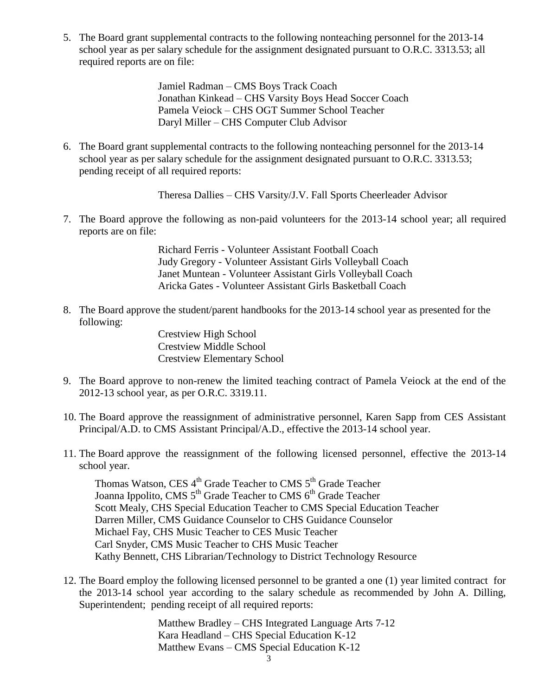5. The Board grant supplemental contracts to the following nonteaching personnel for the 2013-14 school year as per salary schedule for the assignment designated pursuant to O.R.C. 3313.53; all required reports are on file:

> Jamiel Radman – CMS Boys Track Coach Jonathan Kinkead – CHS Varsity Boys Head Soccer Coach Pamela Veiock – CHS OGT Summer School Teacher Daryl Miller – CHS Computer Club Advisor

6. The Board grant supplemental contracts to the following nonteaching personnel for the 2013-14 school year as per salary schedule for the assignment designated pursuant to O.R.C. 3313.53; pending receipt of all required reports:

Theresa Dallies – CHS Varsity/J.V. Fall Sports Cheerleader Advisor

7. The Board approve the following as non-paid volunteers for the 2013-14 school year; all required reports are on file:

> Richard Ferris - Volunteer Assistant Football Coach Judy Gregory - Volunteer Assistant Girls Volleyball Coach Janet Muntean - Volunteer Assistant Girls Volleyball Coach Aricka Gates - Volunteer Assistant Girls Basketball Coach

8. The Board approve the student/parent handbooks for the 2013-14 school year as presented for the following:

> Crestview High School Crestview Middle School Crestview Elementary School

- 9. The Board approve to non-renew the limited teaching contract of Pamela Veiock at the end of the 2012-13 school year, as per O.R.C. 3319.11.
- 10. The Board approve the reassignment of administrative personnel, Karen Sapp from CES Assistant Principal/A.D. to CMS Assistant Principal/A.D., effective the 2013-14 school year.
- 11. The Board approve the reassignment of the following licensed personnel, effective the 2013-14 school year.

Thomas Watson, CES 4<sup>th</sup> Grade Teacher to CMS 5<sup>th</sup> Grade Teacher Joanna Ippolito, CMS 5<sup>th</sup> Grade Teacher to CMS 6<sup>th</sup> Grade Teacher Scott Mealy, CHS Special Education Teacher to CMS Special Education Teacher Darren Miller, CMS Guidance Counselor to CHS Guidance Counselor Michael Fay, CHS Music Teacher to CES Music Teacher Carl Snyder, CMS Music Teacher to CHS Music Teacher Kathy Bennett, CHS Librarian/Technology to District Technology Resource

12. The Board employ the following licensed personnel to be granted a one (1) year limited contract for the 2013-14 school year according to the salary schedule as recommended by John A. Dilling, Superintendent; pending receipt of all required reports:

> Matthew Bradley – CHS Integrated Language Arts 7-12 Kara Headland – CHS Special Education K-12 Matthew Evans – CMS Special Education K-12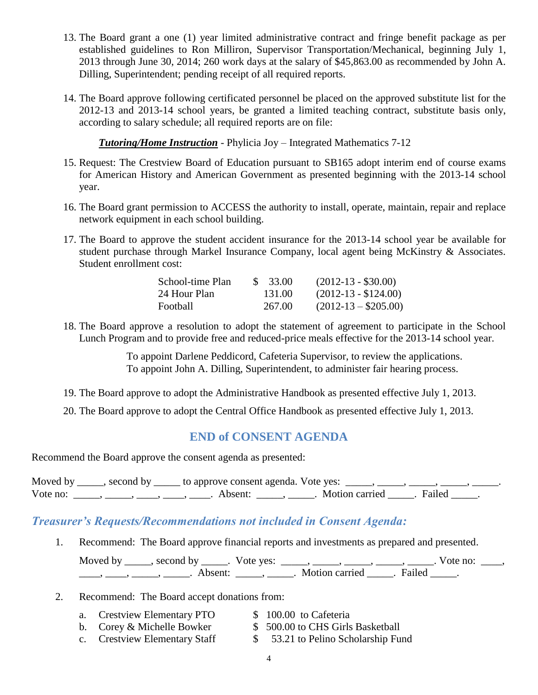- 13. The Board grant a one (1) year limited administrative contract and fringe benefit package as per established guidelines to Ron Milliron, Supervisor Transportation/Mechanical, beginning July 1, 2013 through June 30, 2014; 260 work days at the salary of \$45,863.00 as recommended by John A. Dilling, Superintendent; pending receipt of all required reports.
- 14. The Board approve following certificated personnel be placed on the approved substitute list for the 2012-13 and 2013-14 school years, be granted a limited teaching contract, substitute basis only, according to salary schedule; all required reports are on file:

*Tutoring/Home Instruction* - Phylicia Joy – Integrated Mathematics 7-12

- 15. Request: The Crestview Board of Education pursuant to SB165 adopt interim end of course exams for American History and American Government as presented beginning with the 2013-14 school year.
- 16. The Board grant permission to ACCESS the authority to install, operate, maintain, repair and replace network equipment in each school building.
- 17. The Board to approve the student accident insurance for the 2013-14 school year be available for student purchase through Markel Insurance Company, local agent being McKinstry & Associates. Student enrollment cost:

| School-time Plan | \$ 33.00 | $(2012-13 - $30.00)$  |
|------------------|----------|-----------------------|
| 24 Hour Plan     | 131.00   | $(2012-13 - $124.00)$ |
| Football         | 267.00   | $(2012-13 - $205.00)$ |

18. The Board approve a resolution to adopt the statement of agreement to participate in the School Lunch Program and to provide free and reduced-price meals effective for the 2013-14 school year.

> To appoint Darlene Peddicord, Cafeteria Supervisor, to review the applications. To appoint John A. Dilling, Superintendent, to administer fair hearing process.

- 19. The Board approve to adopt the Administrative Handbook as presented effective July 1, 2013.
- 20. The Board approve to adopt the Central Office Handbook as presented effective July 1, 2013.

## **END of CONSENT AGENDA**

Recommend the Board approve the consent agenda as presented:

Moved by \_\_\_\_, second by \_\_\_\_\_\_ to approve consent agenda. Vote yes:  $\_\_\_\_\_\$ Vote no: \_\_\_\_\_, \_\_\_\_, \_\_\_\_, \_\_\_\_, \_\_\_\_, Absent: \_\_\_\_\_, \_\_\_\_\_. Motion carried \_\_\_\_\_. Failed \_\_\_\_.

## *Treasurer's Requests/Recommendations not included in Consent Agenda:*

1. Recommend: The Board approve financial reports and investments as prepared and presented.

Moved by \_\_\_\_\_, second by \_\_\_\_\_. Vote yes: \_\_\_\_\_, \_\_\_\_\_, \_\_\_\_\_, \_\_\_\_\_, \_\_\_\_\_. Vote no: \_\_\_\_,  $\frac{1}{\sqrt{2\pi}}$ ,  $\frac{1}{\sqrt{2\pi}}$ ,  $\frac{1}{\sqrt{2\pi}}$ ,  $\frac{1}{\sqrt{2\pi}}$ ,  $\frac{1}{\sqrt{2\pi}}$ ,  $\frac{1}{\sqrt{2\pi}}$ ,  $\frac{1}{\sqrt{2\pi}}$ ,  $\frac{1}{\sqrt{2\pi}}$ ,  $\frac{1}{\sqrt{2\pi}}$ ,  $\frac{1}{\sqrt{2\pi}}$ 

- 2. Recommend: The Board accept donations from:
	- a. Crestview Elementary PTO \$ 100.00 to Cafeteria<br>b. Corey & Michelle Bowker \$ 500.00 to CHS Girls<br>c. Crestview Elements 6 3
	-
- 
- b. Corey & Michelle Bowker \$ 500.00 to CHS Girls Basketball
- 
- c. Crestview Elementary Staff  $\qquad$  \$ 53.21 to Pelino Scholarship Fund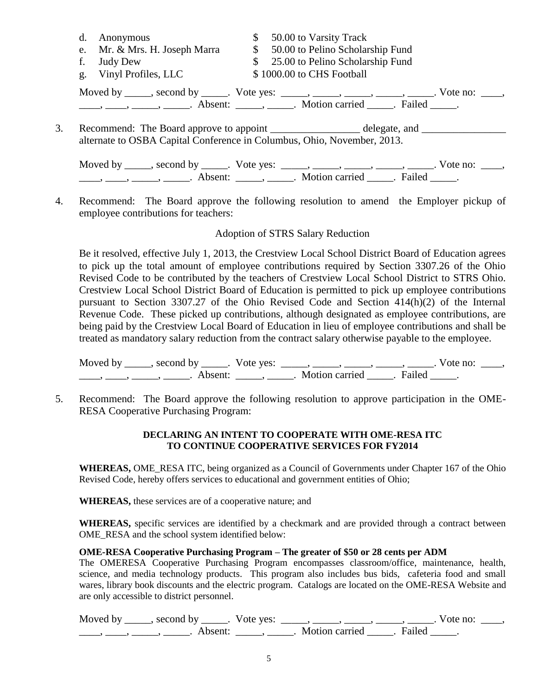|    | d. Anonymous<br>e. Mr. & Mrs. H. Joseph Marra                           | $\mathbb{S}$ | 50.00 to Varsity Track<br>\$ 50.00 to Pelino Scholarship Fund                                                                                                                                                                                                                                                                                                                                                                                                                                                               |
|----|-------------------------------------------------------------------------|--------------|-----------------------------------------------------------------------------------------------------------------------------------------------------------------------------------------------------------------------------------------------------------------------------------------------------------------------------------------------------------------------------------------------------------------------------------------------------------------------------------------------------------------------------|
|    | f.<br>Judy Dew                                                          |              | \$ 25.00 to Pelino Scholarship Fund                                                                                                                                                                                                                                                                                                                                                                                                                                                                                         |
|    | g. Vinyl Profiles, LLC                                                  |              | \$1000.00 to CHS Football                                                                                                                                                                                                                                                                                                                                                                                                                                                                                                   |
|    |                                                                         |              | Moved by _____, second by _____. Vote yes: _____, _____, _____, _____, _____. Vote no: ____,<br>$\frac{1}{1}, \frac{1}{1}, \frac{1}{1}, \frac{1}{1}, \frac{1}{1}, \frac{1}{1}, \frac{1}{1}, \frac{1}{1}, \frac{1}{1}, \frac{1}{1}, \frac{1}{1}, \frac{1}{1}, \frac{1}{1}, \frac{1}{1}, \frac{1}{1}, \frac{1}{1}, \frac{1}{1}, \frac{1}{1}, \frac{1}{1}, \frac{1}{1}, \frac{1}{1}, \frac{1}{1}, \frac{1}{1}, \frac{1}{1}, \frac{1}{1}, \frac{1}{1}, \frac{1}{1}, \frac{1}{1}, \frac{1}{1}, \frac{1}{1}, \frac{1}{1}, \frac{$ |
| 3. | alternate to OSBA Capital Conference in Columbus, Ohio, November, 2013. |              | Recommend: The Board approve to appoint _________________ delegate, and _______________                                                                                                                                                                                                                                                                                                                                                                                                                                     |

Moved by \_\_\_\_\_, second by \_\_\_\_\_. Vote yes:  $\_\_\_\_\_\_\_\_\_\_\_\_\_\_\_$  \_\_\_\_\_, \_\_\_\_\_, \_\_\_\_\_. Vote no:  $\_\_\_\_\_\_\$ \_\_\_\_\_, \_\_\_\_\_\_, \_\_\_\_\_\_\_. Absent: \_\_\_\_\_\_, \_\_\_\_\_\_. Motion carried \_\_\_\_\_\_. Failed \_\_\_\_\_.

4. Recommend: The Board approve the following resolution to amend the Employer pickup of employee contributions for teachers:

#### Adoption of STRS Salary Reduction

Be it resolved, effective July 1, 2013, the Crestview Local School District Board of Education agrees to pick up the total amount of employee contributions required by Section 3307.26 of the Ohio Revised Code to be contributed by the teachers of Crestview Local School District to STRS Ohio. Crestview Local School District Board of Education is permitted to pick up employee contributions pursuant to Section 3307.27 of the Ohio Revised Code and Section 414(h)(2) of the Internal Revenue Code. These picked up contributions, although designated as employee contributions, are being paid by the Crestview Local Board of Education in lieu of employee contributions and shall be treated as mandatory salary reduction from the contract salary otherwise payable to the employee.

Moved by \_\_\_\_\_, second by \_\_\_\_\_. Vote yes:  $\_\_\_\_\_\_\_\_\_\_\_\_\_\_\_$  \_\_\_\_\_, \_\_\_\_\_, \_\_\_\_\_. Vote no:  $\_\_\_\_\_\_\$ \_\_\_\_\_, \_\_\_\_\_\_, \_\_\_\_\_\_\_. Absent: \_\_\_\_\_\_, \_\_\_\_\_\_. Motion carried \_\_\_\_\_\_. Failed \_\_\_\_\_.

5. Recommend: The Board approve the following resolution to approve participation in the OME-RESA Cooperative Purchasing Program:

#### **DECLARING AN INTENT TO COOPERATE WITH OME-RESA ITC TO CONTINUE COOPERATIVE SERVICES FOR FY2014**

**WHEREAS,** OME\_RESA ITC, being organized as a Council of Governments under Chapter 167 of the Ohio Revised Code, hereby offers services to educational and government entities of Ohio;

**WHEREAS,** these services are of a cooperative nature; and

**WHEREAS,** specific services are identified by a checkmark and are provided through a contract between OME\_RESA and the school system identified below:

#### **OME-RESA Cooperative Purchasing Program – The greater of \$50 or 28 cents per ADM**

The OMERESA Cooperative Purchasing Program encompasses classroom/office, maintenance, health, science, and media technology products. This program also includes bus bids, cafeteria food and small wares, library book discounts and the electric program. Catalogs are located on the OME-RESA Website and are only accessible to district personnel.

| Moved by second by | Vote yes: |                |        |  |
|--------------------|-----------|----------------|--------|--|
|                    |           | Motion carried | Failed |  |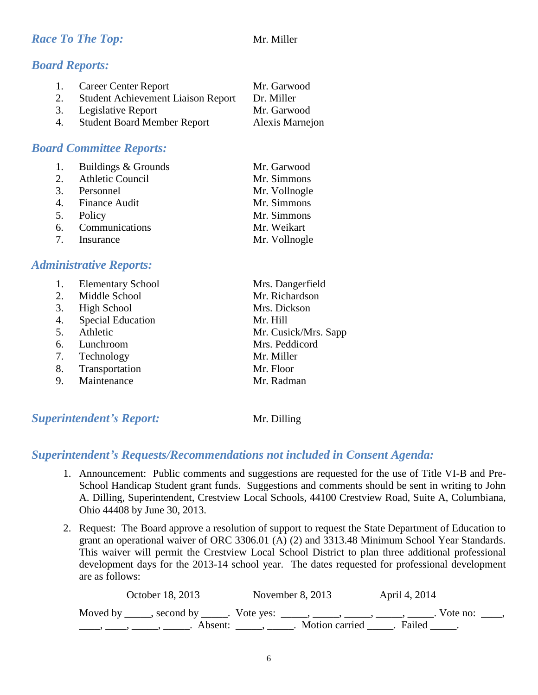## *Race To The Top:* Mr. Miller

# *Board Reports:*

| 1. | <b>Career Center Report</b>               | Mr. Garwood     |
|----|-------------------------------------------|-----------------|
| 2. | <b>Student Achievement Liaison Report</b> | Dr. Miller      |
|    | 3. Legislative Report                     | Mr. Garwood     |
| 4. | <b>Student Board Member Report</b>        | Alexis Marnejon |

## *Board Committee Reports:*

| 1. Buildings & Grounds | Mr. Garwood   |
|------------------------|---------------|
| 2. Athletic Council    | Mr. Simmons   |
| 3. Personnel           | Mr. Vollnogle |
| 4. Finance Audit       | Mr. Simmons   |
| 5. Policy              | Mr. Simmons   |
| 6. Communications      | Mr. Weikart   |
| 7. Insurance           | Mr. Vollnogle |

## *Administrative Reports:*

|    | <b>Elementary School</b> | Mrs. Dangerfield     |
|----|--------------------------|----------------------|
| 2. | Middle School            | Mr. Richardson       |
| 3. | High School              | Mrs. Dickson         |
| 4. | <b>Special Education</b> | Mr. Hill             |
| 5. | Athletic                 | Mr. Cusick/Mrs. Sapp |
| 6. | Lunchroom                | Mrs. Peddicord       |
| 7. | Technology               | Mr. Miller           |
| 8. | Transportation           | Mr. Floor            |
| 9. | Maintenance              | Mr. Radman           |
|    |                          |                      |

## **Superintendent's Report:** Mr. Dilling

## *Superintendent's Requests/Recommendations not included in Consent Agenda:*

- 1. Announcement: Public comments and suggestions are requested for the use of Title VI-B and Pre-School Handicap Student grant funds. Suggestions and comments should be sent in writing to John A. Dilling, Superintendent, Crestview Local Schools, 44100 Crestview Road, Suite A, Columbiana, Ohio 44408 by June 30, 2013.
- 2. Request: The Board approve a resolution of support to request the State Department of Education to grant an operational waiver of ORC 3306.01 (A) (2) and 3313.48 Minimum School Year Standards. This waiver will permit the Crestview Local School District to plan three additional professional development days for the 2013-14 school year. The dates requested for professional development are as follows:

| October 18, 2013                                                                | November $8, 2013$                                     | April 4, 2014          |
|---------------------------------------------------------------------------------|--------------------------------------------------------|------------------------|
| Moved by ______, second by ______. Vote yes: ______, _____, _____, _____, _____ | Absent: _____, ______. Motion carried ______. Failed . | . Vote no: $\_\_\_\$ . |